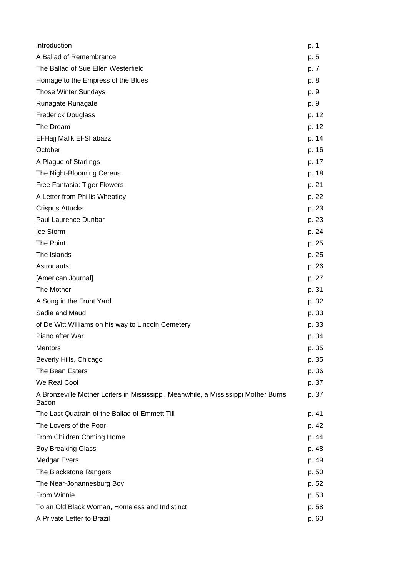| Introduction                                                                                | p. 1  |
|---------------------------------------------------------------------------------------------|-------|
| A Ballad of Remembrance                                                                     | p. 5  |
| The Ballad of Sue Ellen Westerfield                                                         | p. 7  |
| Homage to the Empress of the Blues                                                          | p. 8  |
| <b>Those Winter Sundays</b>                                                                 | p. 9  |
| Runagate Runagate                                                                           | p. 9  |
| <b>Frederick Douglass</b>                                                                   | p. 12 |
| The Dream                                                                                   | p. 12 |
| El-Hajj Malik El-Shabazz                                                                    | p. 14 |
| October                                                                                     | p. 16 |
| A Plague of Starlings                                                                       | p. 17 |
| The Night-Blooming Cereus                                                                   | p. 18 |
| Free Fantasia: Tiger Flowers                                                                | p. 21 |
| A Letter from Phillis Wheatley                                                              | p. 22 |
| <b>Crispus Attucks</b>                                                                      | p. 23 |
| Paul Laurence Dunbar                                                                        | p. 23 |
| Ice Storm                                                                                   | p. 24 |
| The Point                                                                                   | p. 25 |
| The Islands                                                                                 | p. 25 |
| Astronauts                                                                                  | p. 26 |
| [American Journal]                                                                          | p. 27 |
| The Mother                                                                                  | p. 31 |
| A Song in the Front Yard                                                                    | p. 32 |
| Sadie and Maud                                                                              | p. 33 |
| of De Witt Williams on his way to Lincoln Cemetery                                          | p. 33 |
| Piano after War                                                                             | p. 34 |
| Mentors                                                                                     | p. 35 |
| Beverly Hills, Chicago                                                                      | p. 35 |
| The Bean Eaters                                                                             | p. 36 |
| We Real Cool                                                                                | p. 37 |
| A Bronzeville Mother Loiters in Mississippi. Meanwhile, a Mississippi Mother Burns<br>Bacon | p. 37 |
| The Last Quatrain of the Ballad of Emmett Till                                              | p. 41 |
| The Lovers of the Poor                                                                      | p. 42 |
| From Children Coming Home                                                                   | p. 44 |
| <b>Boy Breaking Glass</b>                                                                   | p. 48 |
| <b>Medgar Evers</b>                                                                         | p. 49 |
| The Blackstone Rangers                                                                      | p. 50 |
| The Near-Johannesburg Boy                                                                   | p. 52 |
| From Winnie                                                                                 | p. 53 |
| To an Old Black Woman, Homeless and Indistinct                                              | p. 58 |
| A Private Letter to Brazil                                                                  | p. 60 |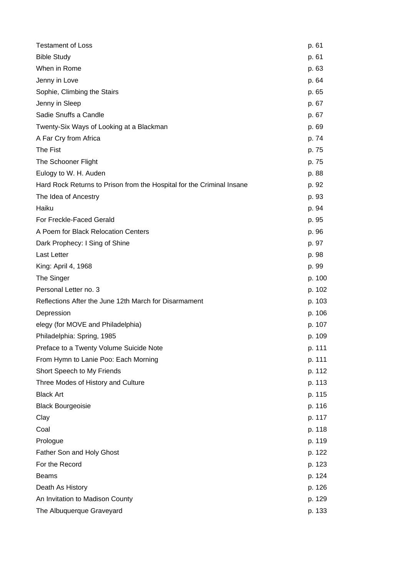| <b>Testament of Loss</b>                                              | p. 61  |
|-----------------------------------------------------------------------|--------|
| <b>Bible Study</b>                                                    | p. 61  |
| When in Rome                                                          | p. 63  |
| Jenny in Love                                                         | p. 64  |
| Sophie, Climbing the Stairs                                           | p. 65  |
| Jenny in Sleep                                                        | p. 67  |
| Sadie Snuffs a Candle                                                 | p. 67  |
| Twenty-Six Ways of Looking at a Blackman                              | p. 69  |
| A Far Cry from Africa                                                 | p. 74  |
| The Fist                                                              | p. 75  |
| The Schooner Flight                                                   | p. 75  |
| Eulogy to W. H. Auden                                                 | p. 88  |
| Hard Rock Returns to Prison from the Hospital for the Criminal Insane | p. 92  |
| The Idea of Ancestry                                                  | p. 93  |
| Haiku                                                                 | p. 94  |
| For Freckle-Faced Gerald                                              | p. 95  |
| A Poem for Black Relocation Centers                                   | p. 96  |
| Dark Prophecy: I Sing of Shine                                        | p. 97  |
| <b>Last Letter</b>                                                    | p. 98  |
| King: April 4, 1968                                                   | p. 99  |
| The Singer                                                            | p. 100 |
| Personal Letter no. 3                                                 | p. 102 |
| Reflections After the June 12th March for Disarmament                 | p. 103 |
| Depression                                                            | p. 106 |
| elegy (for MOVE and Philadelphia)                                     | p. 107 |
| Philadelphia: Spring, 1985                                            | p. 109 |
| Preface to a Twenty Volume Suicide Note                               | p. 111 |
| From Hymn to Lanie Poo: Each Morning                                  | p. 111 |
| Short Speech to My Friends                                            | p. 112 |
| Three Modes of History and Culture                                    | p. 113 |
| <b>Black Art</b>                                                      | p. 115 |
| <b>Black Bourgeoisie</b>                                              | p. 116 |
| Clay                                                                  | p. 117 |
| Coal                                                                  | p. 118 |
| Prologue                                                              | p. 119 |
| Father Son and Holy Ghost                                             | p. 122 |
| For the Record                                                        | p. 123 |
| <b>Beams</b>                                                          | p. 124 |
| Death As History                                                      | p. 126 |
| An Invitation to Madison County                                       | p. 129 |
| The Albuquerque Graveyard                                             | p. 133 |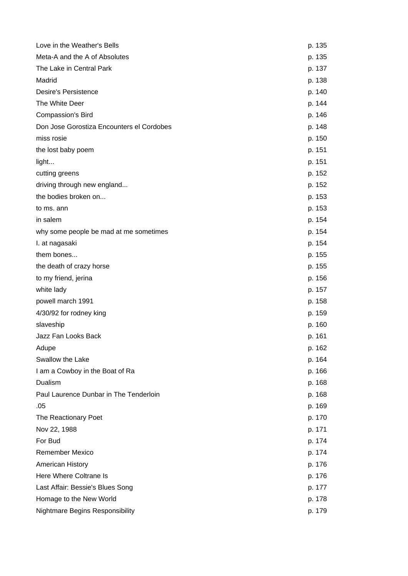| Love in the Weather's Bells               | p. 135 |
|-------------------------------------------|--------|
| Meta-A and the A of Absolutes             | p. 135 |
| The Lake in Central Park                  | p. 137 |
| Madrid                                    | p. 138 |
| <b>Desire's Persistence</b>               | p. 140 |
| The White Deer                            | p. 144 |
| Compassion's Bird                         | p. 146 |
| Don Jose Gorostiza Encounters el Cordobes | p. 148 |
| miss rosie                                | p. 150 |
| the lost baby poem                        | p. 151 |
| light                                     | p. 151 |
| cutting greens                            | p. 152 |
| driving through new england               | p. 152 |
| the bodies broken on                      | p. 153 |
| to ms. ann                                | p. 153 |
| in salem                                  | p. 154 |
| why some people be mad at me sometimes    | p. 154 |
| I. at nagasaki                            | p. 154 |
| them bones                                | p. 155 |
| the death of crazy horse                  | p. 155 |
| to my friend, jerina                      | p. 156 |
| white lady                                | p. 157 |
| powell march 1991                         | p. 158 |
| 4/30/92 for rodney king                   | p. 159 |
| slaveship                                 | p. 160 |
| Jazz Fan Looks Back                       | p. 161 |
| Adupe                                     | p. 162 |
| Swallow the Lake                          | p. 164 |
| I am a Cowboy in the Boat of Ra           | p. 166 |
| Dualism                                   | p. 168 |
| Paul Laurence Dunbar in The Tenderloin    | p. 168 |
| .05                                       | p. 169 |
| The Reactionary Poet                      | p. 170 |
| Nov 22, 1988                              | p. 171 |
| For Bud                                   | p. 174 |
| <b>Remember Mexico</b>                    | p. 174 |
| <b>American History</b>                   | p. 176 |
| Here Where Coltrane Is                    | p. 176 |
| Last Affair: Bessie's Blues Song          | p. 177 |
| Homage to the New World                   | p. 178 |
| <b>Nightmare Begins Responsibility</b>    | p. 179 |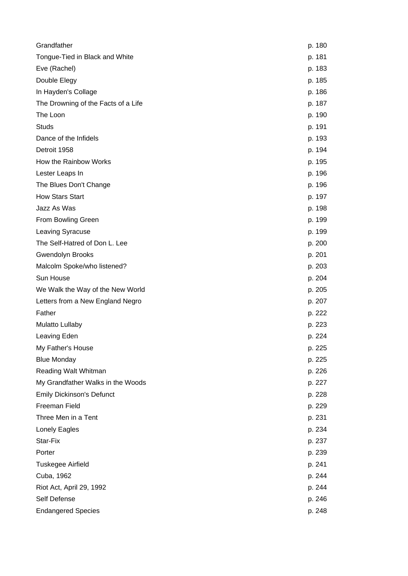| Grandfather                         | p. 180 |
|-------------------------------------|--------|
| Tongue-Tied in Black and White      | p. 181 |
| Eve (Rachel)                        | p. 183 |
| Double Elegy                        | p. 185 |
| In Hayden's Collage                 | p. 186 |
| The Drowning of the Facts of a Life | p. 187 |
| The Loon                            | p. 190 |
| <b>Studs</b>                        | p. 191 |
| Dance of the Infidels               | p. 193 |
| Detroit 1958                        | p. 194 |
| How the Rainbow Works               | p. 195 |
| Lester Leaps In                     | p. 196 |
| The Blues Don't Change              | p. 196 |
| <b>How Stars Start</b>              | p. 197 |
| Jazz As Was                         | p. 198 |
| From Bowling Green                  | p. 199 |
| Leaving Syracuse                    | p. 199 |
| The Self-Hatred of Don L. Lee       | p. 200 |
| <b>Gwendolyn Brooks</b>             | p. 201 |
| Malcolm Spoke/who listened?         | p. 203 |
| Sun House                           | p. 204 |
| We Walk the Way of the New World    | p. 205 |
| Letters from a New England Negro    | p. 207 |
| Father                              | p. 222 |
| Mulatto Lullaby                     | p. 223 |
| Leaving Eden                        | p. 224 |
| My Father's House                   | p. 225 |
| <b>Blue Monday</b>                  | p. 225 |
| Reading Walt Whitman                | p. 226 |
| My Grandfather Walks in the Woods   | p. 227 |
| <b>Emily Dickinson's Defunct</b>    | p. 228 |
| Freeman Field                       | p. 229 |
| Three Men in a Tent                 | p. 231 |
| Lonely Eagles                       | p. 234 |
| Star-Fix                            | p. 237 |
| Porter                              | p. 239 |
| <b>Tuskegee Airfield</b>            | p. 241 |
| Cuba, 1962                          | p. 244 |
| Riot Act, April 29, 1992            | p. 244 |
| Self Defense                        | p. 246 |
| <b>Endangered Species</b>           | p. 248 |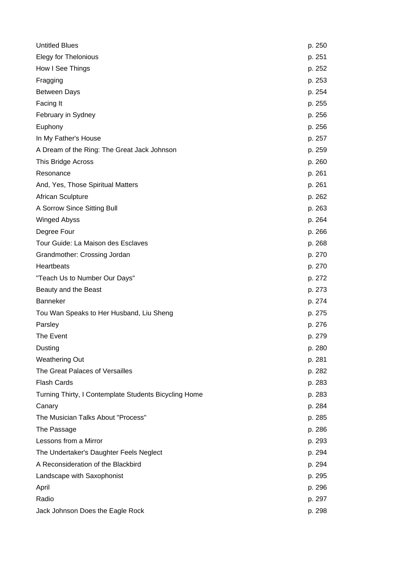| <b>Untitled Blues</b>                                 | p. 250 |
|-------------------------------------------------------|--------|
| <b>Elegy for Thelonious</b>                           | p. 251 |
| How I See Things                                      | p. 252 |
| Fragging                                              | p. 253 |
| <b>Between Days</b>                                   | p. 254 |
| Facing It                                             | p. 255 |
| February in Sydney                                    | p. 256 |
| Euphony                                               | p. 256 |
| In My Father's House                                  | p. 257 |
| A Dream of the Ring: The Great Jack Johnson           | p. 259 |
| This Bridge Across                                    | p. 260 |
| Resonance                                             | p. 261 |
| And, Yes, Those Spiritual Matters                     | p. 261 |
| African Sculpture                                     | p. 262 |
| A Sorrow Since Sitting Bull                           | p. 263 |
| <b>Winged Abyss</b>                                   | p. 264 |
| Degree Four                                           | p. 266 |
| Tour Guide: La Maison des Esclaves                    | p. 268 |
| Grandmother: Crossing Jordan                          | p. 270 |
| Heartbeats                                            | p. 270 |
| "Teach Us to Number Our Days"                         | p. 272 |
| Beauty and the Beast                                  | p. 273 |
| <b>Banneker</b>                                       | p. 274 |
| Tou Wan Speaks to Her Husband, Liu Sheng              | p. 275 |
| Parsley                                               | p. 276 |
| The Event                                             | p. 279 |
| Dusting                                               | p. 280 |
| <b>Weathering Out</b>                                 | p. 281 |
| The Great Palaces of Versailles                       | p. 282 |
| <b>Flash Cards</b>                                    | p. 283 |
| Turning Thirty, I Contemplate Students Bicycling Home | p. 283 |
| Canary                                                | p. 284 |
| The Musician Talks About "Process"                    | p. 285 |
| The Passage                                           | p. 286 |
| Lessons from a Mirror                                 | p. 293 |
| The Undertaker's Daughter Feels Neglect               | p. 294 |
| A Reconsideration of the Blackbird                    | p. 294 |
| Landscape with Saxophonist                            | p. 295 |
| April                                                 | p. 296 |
| Radio                                                 | p. 297 |
| Jack Johnson Does the Eagle Rock                      | p. 298 |